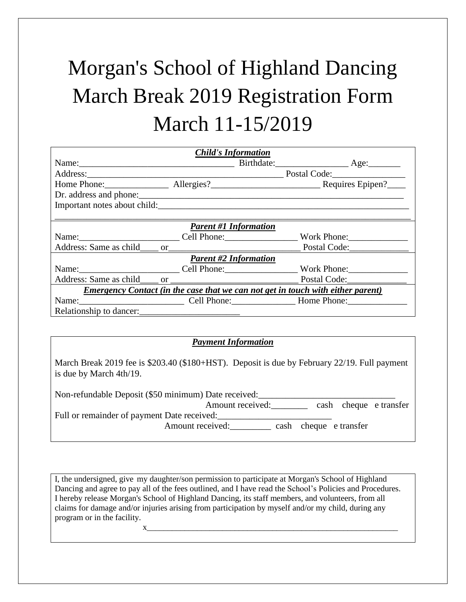## Morgan's School of Highland Dancing March Break 2019 Registration Form March 11-15/2019

| <b>Child's Information</b>                                                             |  |                                 |              |  |  |  |  |
|----------------------------------------------------------------------------------------|--|---------------------------------|--------------|--|--|--|--|
|                                                                                        |  |                                 |              |  |  |  |  |
|                                                                                        |  | Postal Code:___________________ |              |  |  |  |  |
|                                                                                        |  |                                 |              |  |  |  |  |
|                                                                                        |  |                                 |              |  |  |  |  |
|                                                                                        |  |                                 |              |  |  |  |  |
|                                                                                        |  |                                 |              |  |  |  |  |
| <b>Parent #1 Information</b>                                                           |  |                                 |              |  |  |  |  |
| Name: Cell Phone: Work Phone:                                                          |  |                                 |              |  |  |  |  |
| Address: Same as child or                                                              |  |                                 | Postal Code: |  |  |  |  |
| <b>Parent #2 Information</b>                                                           |  |                                 |              |  |  |  |  |
| Name: Cell Phone: Work Phone:                                                          |  |                                 |              |  |  |  |  |
|                                                                                        |  |                                 |              |  |  |  |  |
| <b>Emergency Contact (in the case that we can not get in touch with either parent)</b> |  |                                 |              |  |  |  |  |
| Name: Cell Phone: Home Phone:                                                          |  |                                 |              |  |  |  |  |
| Relationship to dancer:                                                                |  |                                 |              |  |  |  |  |

## *Payment Information*

March Break 2019 fee is \$203.40 (\$180+HST). Deposit is due by February 22/19. Full payment is due by March 4th/19.

| Non-refundable Deposit (\$50 minimum) Date received: |                  |  |                        |  |
|------------------------------------------------------|------------------|--|------------------------|--|
|                                                      | Amount received: |  | cash cheque e transfer |  |
| Full or remainder of payment Date received:          |                  |  |                        |  |
|                                                      | Amount received: |  | cash cheque e transfer |  |

I, the undersigned, give my daughter/son permission to participate at Morgan's School of Highland Dancing and agree to pay all of the fees outlined, and I have read the School's Policies and Procedures. I hereby release Morgan's School of Highland Dancing, its staff members, and volunteers, from all claims for damage and/or injuries arising from participation by myself and/or my child, during any program or in the facility.

 $\mathbf{X}_{\perp}$  , which is a set of the set of the set of the set of the set of the set of the set of the set of the set of the set of the set of the set of the set of the set of the set of the set of the set of the set of t